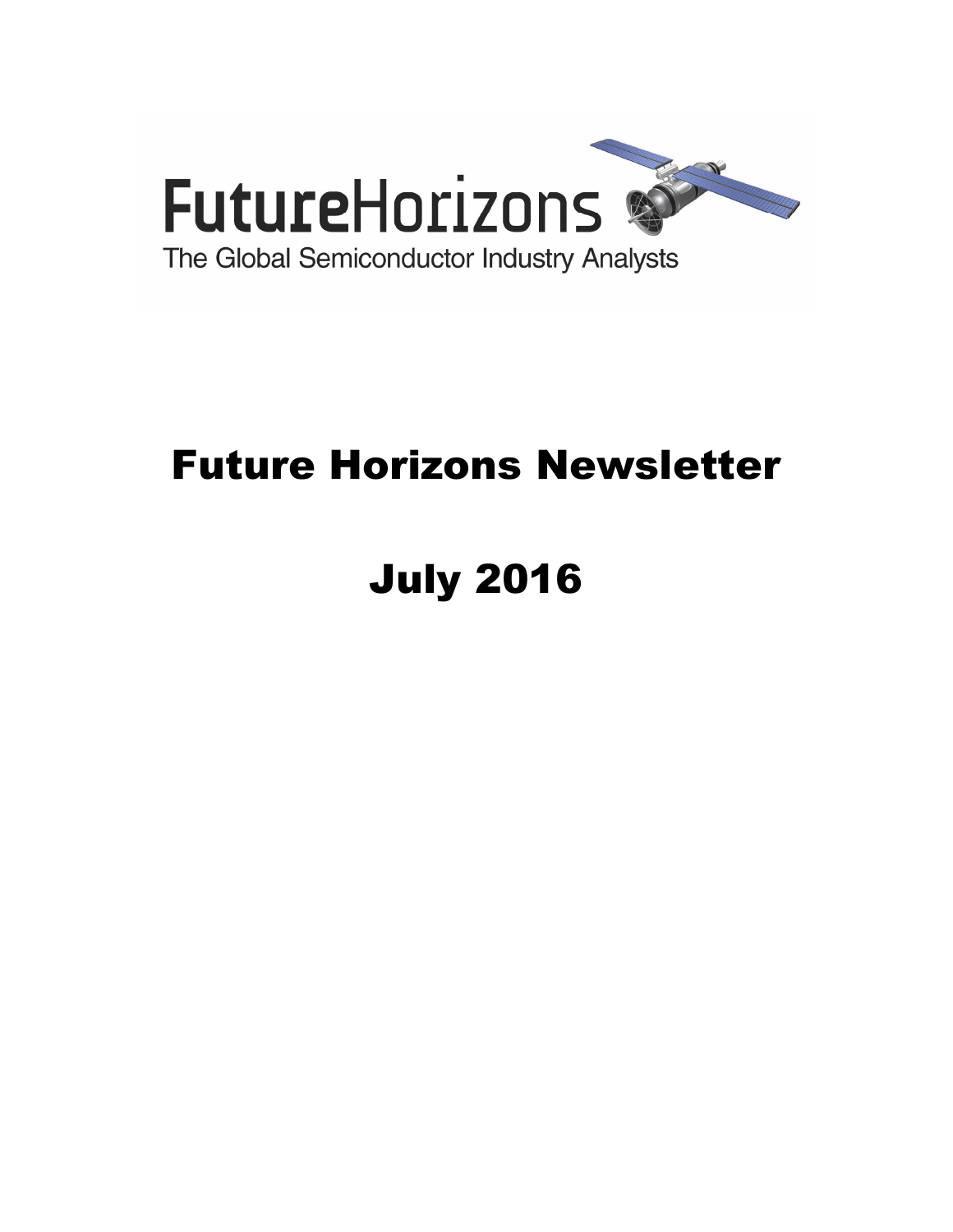

## Future Horizons Newsletter

# July 2016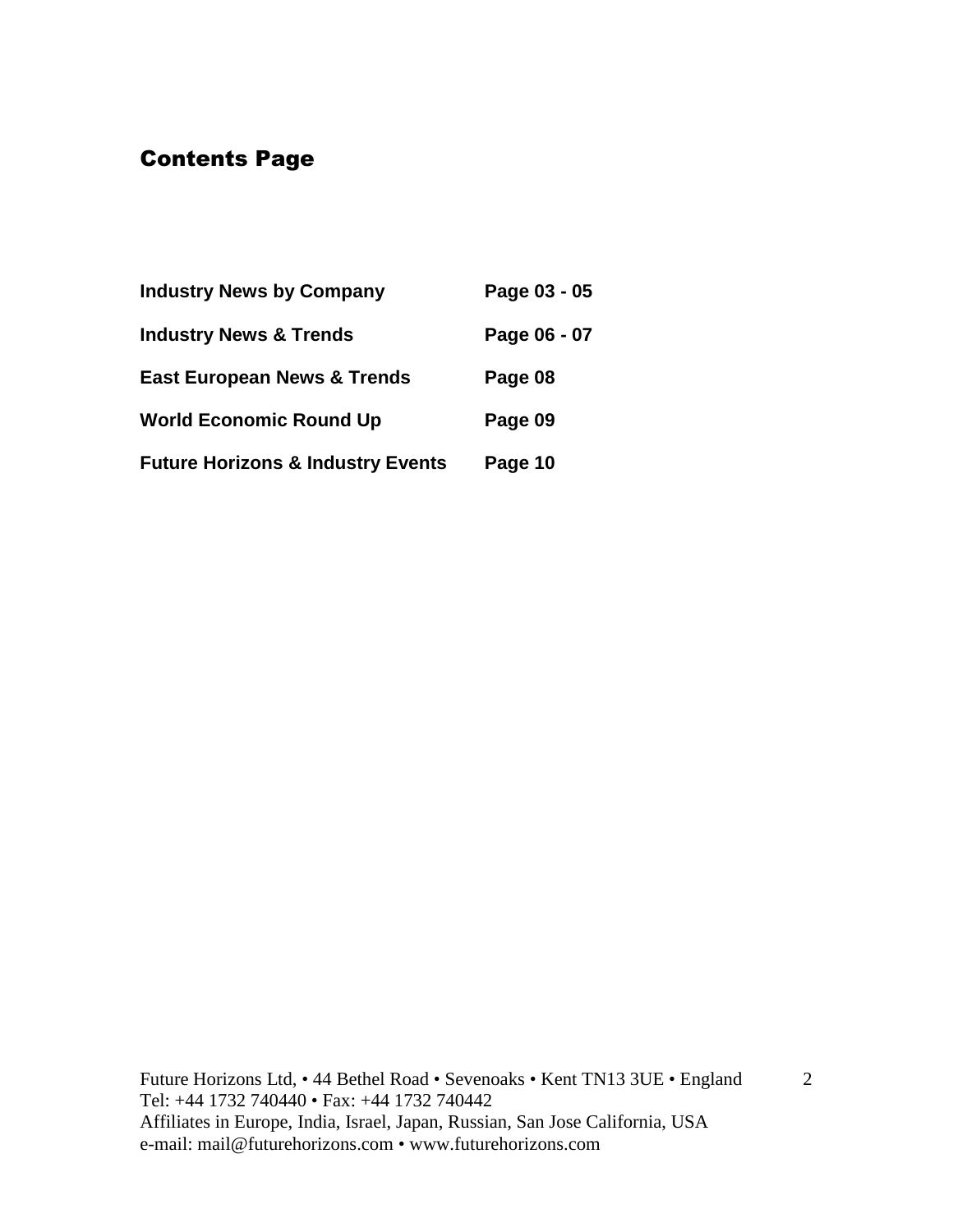## Contents Page

| <b>Industry News by Company</b>              | Page 03 - 05 |
|----------------------------------------------|--------------|
| <b>Industry News &amp; Trends</b>            | Page 06 - 07 |
| <b>East European News &amp; Trends</b>       | Page 08      |
| <b>World Economic Round Up</b>               | Page 09      |
| <b>Future Horizons &amp; Industry Events</b> | Page 10      |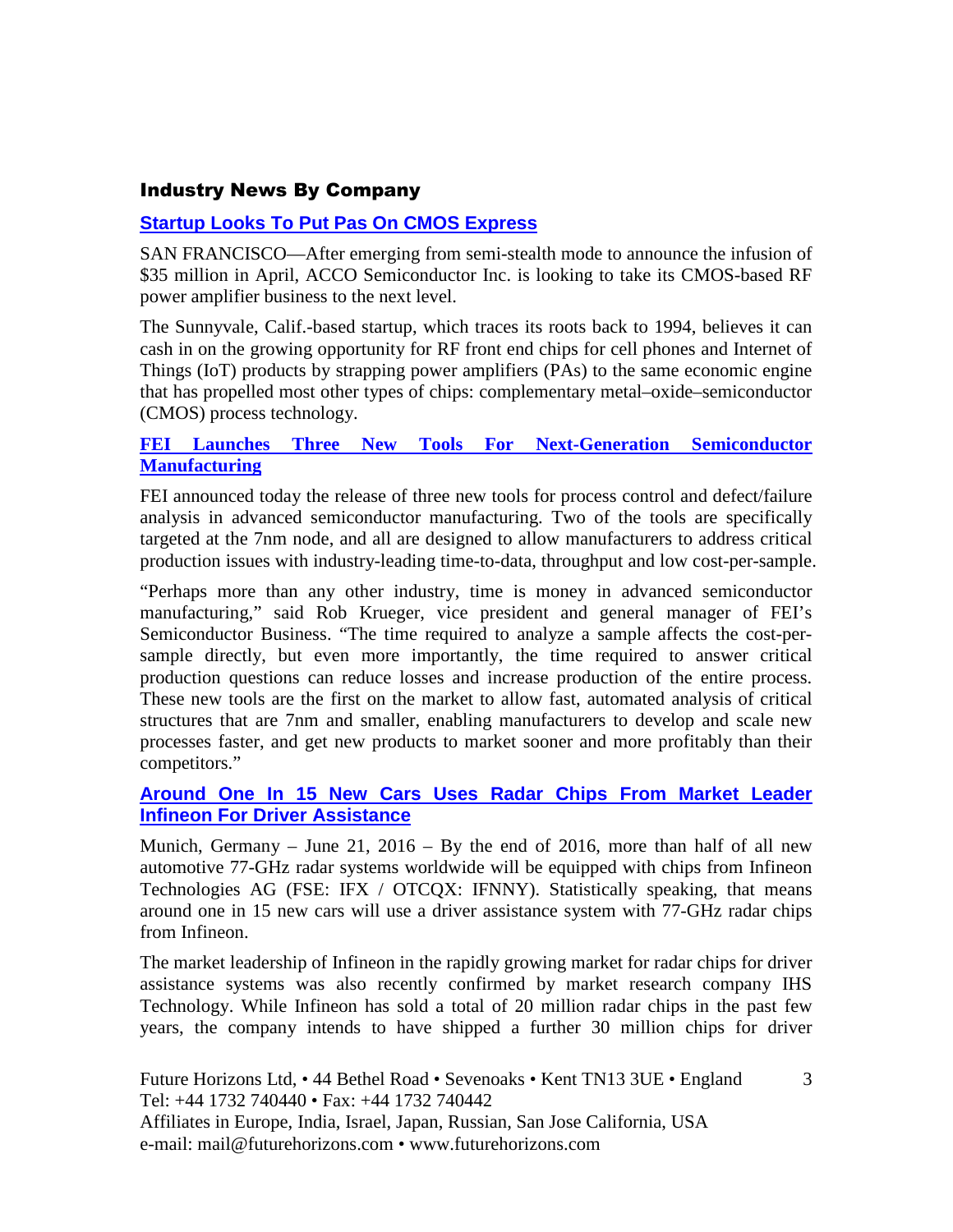#### Industry News By Company

#### **Startup Looks To Put Pas On CMOS Express**

SAN FRANCISCO—After emerging from semi-stealth mode to announce the infusion of \$35 million in April, ACCO Semiconductor Inc. is looking to take its CMOS-based RF power amplifier business to the next level.

The Sunnyvale, Calif.-based startup, which traces its roots back to 1994, believes it can cash in on the growing opportunity for RF front end chips for cell phones and Internet of Things (IoT) products by strapping power amplifiers (PAs) to the same economic engine that has propelled most other types of chips: complementary metal–oxide–semiconductor (CMOS) process technology.

#### **FEI Launches Three New Tools For Next-Generation Semiconductor Manufacturing**

FEI announced today the release of three new tools for process control and defect/failure analysis in advanced semiconductor manufacturing. Two of the tools are specifically targeted at the 7nm node, and all are designed to allow manufacturers to address critical production issues with industry-leading time-to-data, throughput and low cost-per-sample.

"Perhaps more than any other industry, time is money in advanced semiconductor manufacturing," said Rob Krueger, vice president and general manager of FEI's Semiconductor Business. "The time required to analyze a sample affects the cost-persample directly, but even more importantly, the time required to answer critical production questions can reduce losses and increase production of the entire process. These new tools are the first on the market to allow fast, automated analysis of critical structures that are 7nm and smaller, enabling manufacturers to develop and scale new processes faster, and get new products to market sooner and more profitably than their competitors."

#### **Around One In 15 New Cars Uses Radar Chips From Market Leader Infineon For Driver Assistance**

Munich, Germany – June 21,  $2016 - By$  the end of 2016, more than half of all new automotive 77-GHz radar systems worldwide will be equipped with chips from Infineon Technologies AG (FSE: IFX / OTCQX: IFNNY). Statistically speaking, that means around one in 15 new cars will use a driver assistance system with 77-GHz radar chips from Infineon.

The market leadership of Infineon in the rapidly growing market for radar chips for driver assistance systems was also recently confirmed by market research company IHS Technology. While Infineon has sold a total of 20 million radar chips in the past few years, the company intends to have shipped a further 30 million chips for driver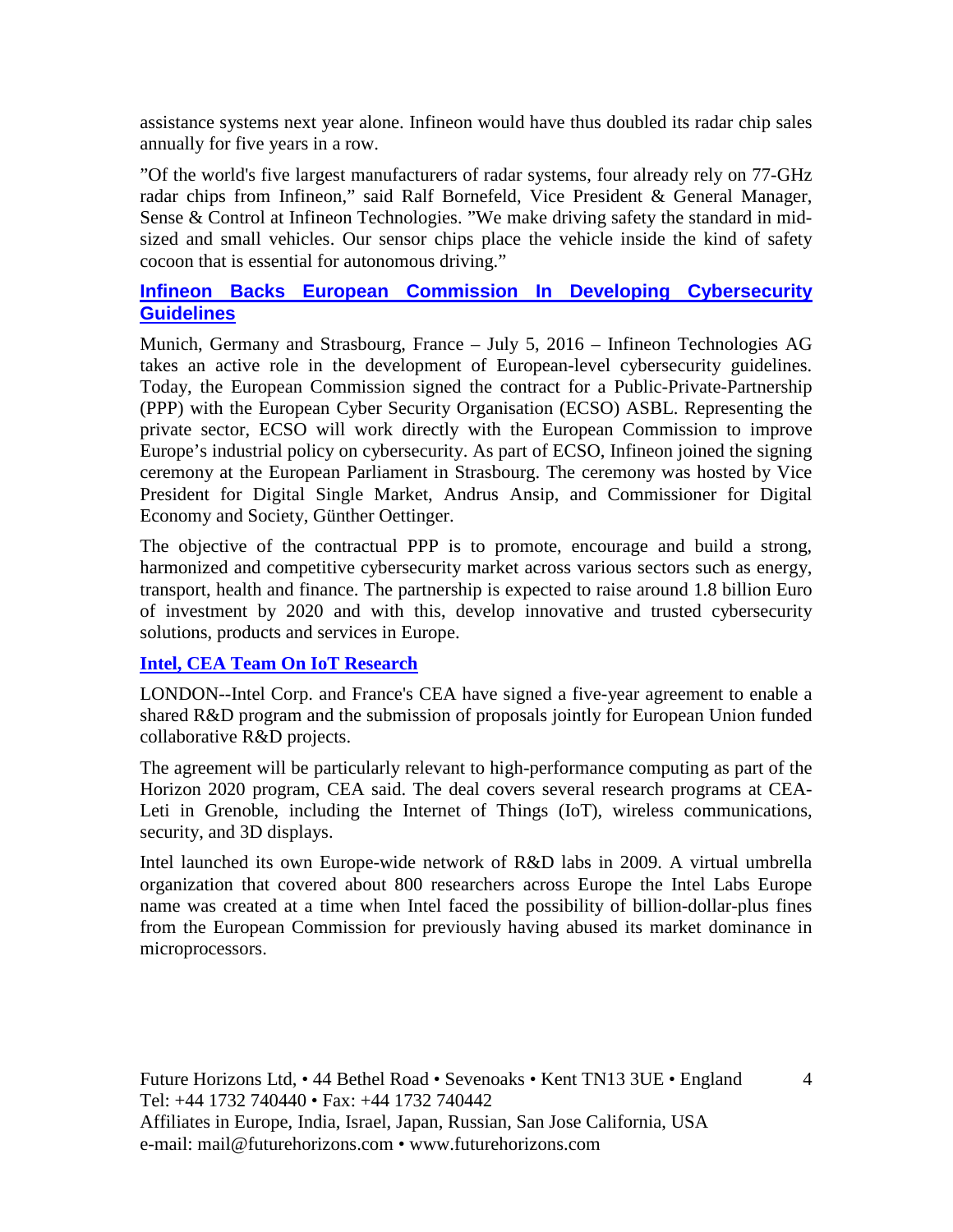assistance systems next year alone. Infineon would have thus doubled its radar chip sales annually for five years in a row.

"Of the world's five largest manufacturers of radar systems, four already rely on 77-GHz radar chips from Infineon," said Ralf Bornefeld, Vice President & General Manager, Sense & Control at Infineon Technologies. "We make driving safety the standard in midsized and small vehicles. Our sensor chips place the vehicle inside the kind of safety cocoon that is essential for autonomous driving."

#### **Infineon Backs European Commission In Developing Cybersecurity Guidelines**

Munich, Germany and Strasbourg, France – July 5, 2016 – Infineon Technologies AG takes an active role in the development of European-level cybersecurity guidelines. Today, the European Commission signed the contract for a Public-Private-Partnership (PPP) with the European Cyber Security Organisation (ECSO) ASBL. Representing the private sector, ECSO will work directly with the European Commission to improve Europe's industrial policy on cybersecurity. As part of ECSO, Infineon joined the signing ceremony at the European Parliament in Strasbourg. The ceremony was hosted by Vice President for Digital Single Market, Andrus Ansip, and Commissioner for Digital Economy and Society, Günther Oettinger.

The objective of the contractual PPP is to promote, encourage and build a strong, harmonized and competitive cybersecurity market across various sectors such as energy, transport, health and finance. The partnership is expected to raise around 1.8 billion Euro of investment by 2020 and with this, develop innovative and trusted cybersecurity solutions, products and services in Europe.

#### **Intel, CEA Team On IoT Research**

LONDON--Intel Corp. and France's CEA have signed a five-year agreement to enable a shared R&D program and the submission of proposals jointly for European Union funded collaborative R&D projects.

The agreement will be particularly relevant to high-performance computing as part of the Horizon 2020 program, CEA said. The deal covers several research programs at CEA-Leti in Grenoble, including the Internet of Things (IoT), wireless communications, security, and 3D displays.

Intel launched its own Europe-wide network of R&D labs in 2009. A virtual umbrella organization that covered about 800 researchers across Europe the Intel Labs Europe name was created at a time when Intel faced the possibility of billion-dollar-plus fines from the European Commission for previously having abused its market dominance in microprocessors.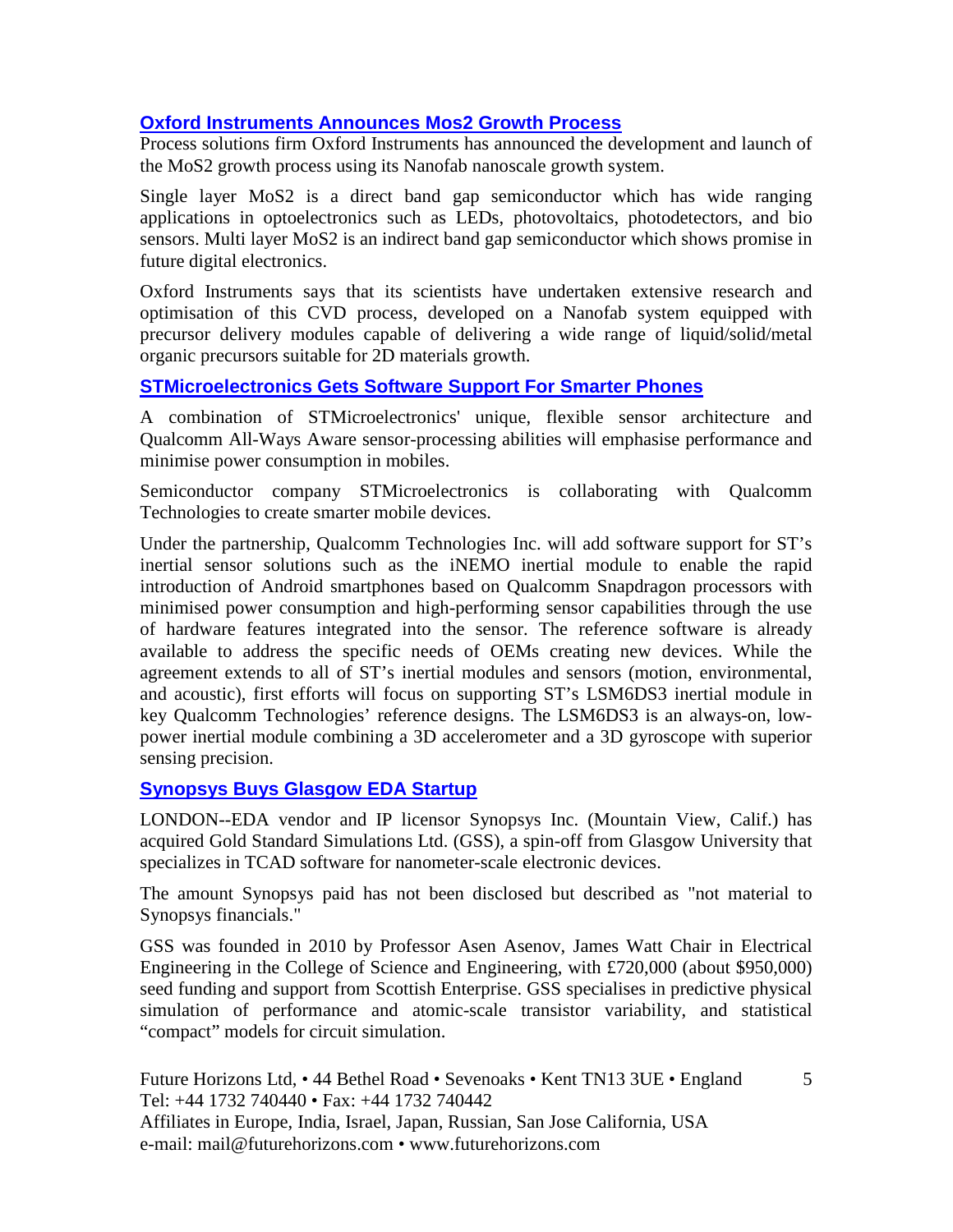#### **Oxford Instruments Announces Mos2 Growth Process**

Process solutions firm Oxford Instruments has announced the development and launch of the MoS2 growth process using its Nanofab nanoscale growth system.

Single layer MoS2 is a direct band gap semiconductor which has wide ranging applications in optoelectronics such as LEDs, photovoltaics, photodetectors, and bio sensors. Multi layer MoS2 is an indirect band gap semiconductor which shows promise in future digital electronics.

Oxford Instruments says that its scientists have undertaken extensive research and optimisation of this CVD process, developed on a Nanofab system equipped with precursor delivery modules capable of delivering a wide range of liquid/solid/metal organic precursors suitable for 2D materials growth.

#### **STMicroelectronics Gets Software Support For Smarter Phones**

A combination of STMicroelectronics' unique, flexible sensor architecture and Qualcomm All-Ways Aware sensor-processing abilities will emphasise performance and minimise power consumption in mobiles.

Semiconductor company STMicroelectronics is collaborating with Qualcomm Technologies to create smarter mobile devices.

Under the partnership, Qualcomm Technologies Inc. will add software support for ST's inertial sensor solutions such as the iNEMO inertial module to enable the rapid introduction of Android smartphones based on Qualcomm Snapdragon processors with minimised power consumption and high-performing sensor capabilities through the use of hardware features integrated into the sensor. The reference software is already available to address the specific needs of OEMs creating new devices. While the agreement extends to all of ST's inertial modules and sensors (motion, environmental, and acoustic), first efforts will focus on supporting ST's LSM6DS3 inertial module in key Qualcomm Technologies' reference designs. The LSM6DS3 is an always-on, lowpower inertial module combining a 3D accelerometer and a 3D gyroscope with superior sensing precision.

#### **Synopsys Buys Glasgow EDA Startup**

LONDON--EDA vendor and IP licensor Synopsys Inc. (Mountain View, Calif.) has acquired Gold Standard Simulations Ltd. (GSS), a spin-off from Glasgow University that specializes in TCAD software for nanometer-scale electronic devices.

The amount Synopsys paid has not been disclosed but described as "not material to Synopsys financials."

GSS was founded in 2010 by Professor Asen Asenov, James Watt Chair in Electrical Engineering in the College of Science and Engineering, with £720,000 (about \$950,000) seed funding and support from Scottish Enterprise. GSS specialises in predictive physical simulation of performance and atomic-scale transistor variability, and statistical "compact" models for circuit simulation.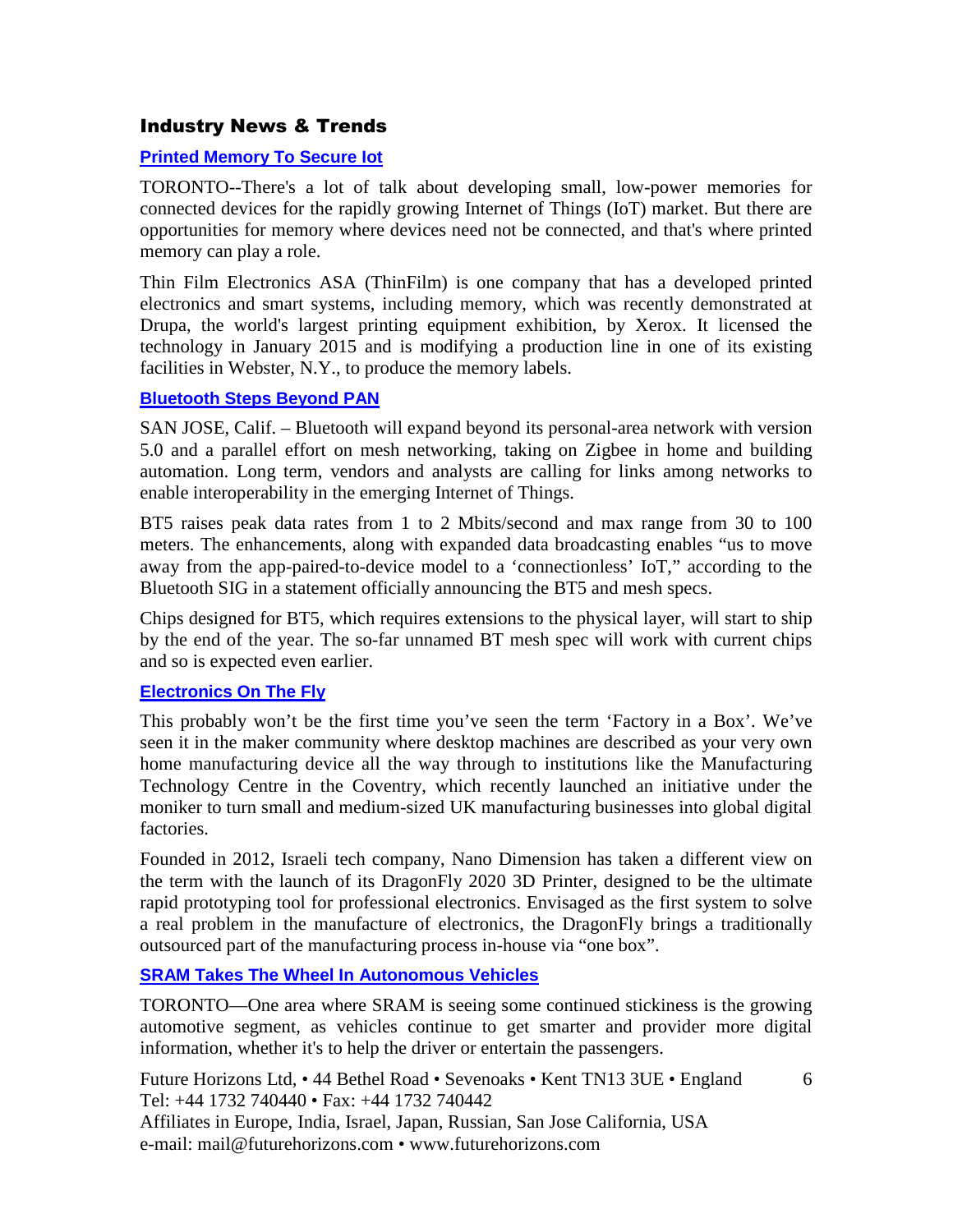#### Industry News & Trends

#### **Printed Memory To Secure Iot**

TORONTO--There's a lot of talk about developing small, low-power memories for connected devices for the rapidly growing Internet of Things (IoT) market. But there are opportunities for memory where devices need not be connected, and that's where printed memory can play a role.

Thin Film Electronics ASA (ThinFilm) is one company that has a developed printed electronics and smart systems, including memory, which was recently demonstrated at Drupa, the world's largest printing equipment exhibition, by Xerox. It licensed the technology in January 2015 and is modifying a production line in one of its existing facilities in Webster, N.Y., to produce the memory labels.

#### **Bluetooth Steps Beyond PAN**

SAN JOSE, Calif. – Bluetooth will expand beyond its personal-area network with version 5.0 and a parallel effort on mesh networking, taking on Zigbee in home and building automation. Long term, vendors and analysts are calling for links among networks to enable interoperability in the emerging Internet of Things.

BT5 raises peak data rates from 1 to 2 Mbits/second and max range from 30 to 100 meters. The enhancements, along with expanded data broadcasting enables "us to move away from the app-paired-to-device model to a 'connectionless' IoT," according to the Bluetooth SIG in a statement officially announcing the BT5 and mesh specs.

Chips designed for BT5, which requires extensions to the physical layer, will start to ship by the end of the year. The so-far unnamed BT mesh spec will work with current chips and so is expected even earlier.

#### **Electronics On The Fly**

This probably won't be the first time you've seen the term 'Factory in a Box'. We've seen it in the maker community where desktop machines are described as your very own home manufacturing device all the way through to institutions like the Manufacturing Technology Centre in the Coventry, which recently launched an initiative under the moniker to turn small and medium-sized UK manufacturing businesses into global digital factories.

Founded in 2012, Israeli tech company, Nano Dimension has taken a different view on the term with the launch of its DragonFly 2020 3D Printer, designed to be the ultimate rapid prototyping tool for professional electronics. Envisaged as the first system to solve a real problem in the manufacture of electronics, the DragonFly brings a traditionally outsourced part of the manufacturing process in-house via "one box".

#### **SRAM Takes The Wheel In Autonomous Vehicles**

TORONTO—One area where SRAM is seeing some continued stickiness is the growing automotive segment, as vehicles continue to get smarter and provider more digital information, whether it's to help the driver or entertain the passengers.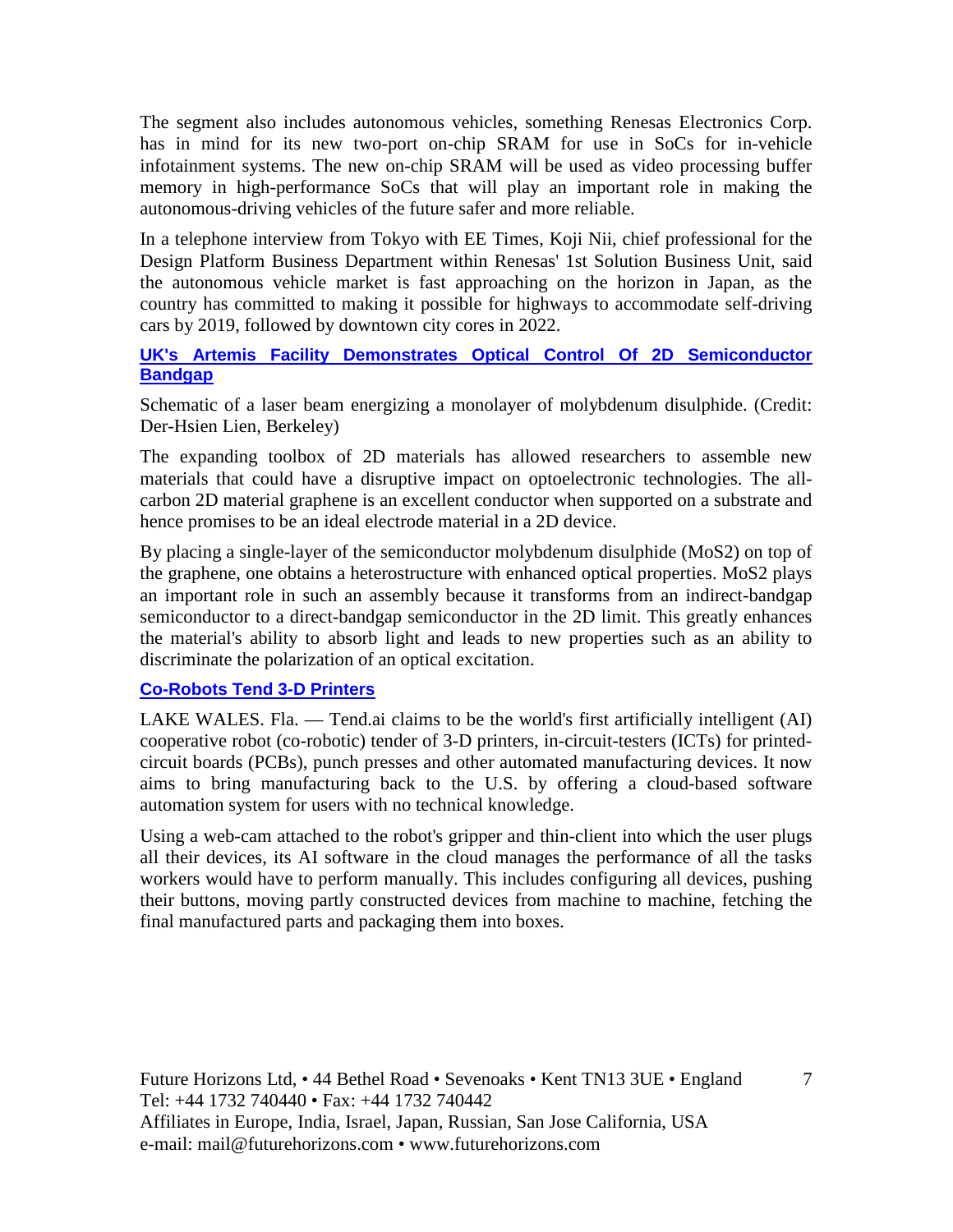The segment also includes autonomous vehicles, something Renesas Electronics Corp. has in mind for its new two-port on-chip SRAM for use in SoCs for in-vehicle infotainment systems. The new on-chip SRAM will be used as video processing buffer memory in high-performance SoCs that will play an important role in making the autonomous-driving vehicles of the future safer and more reliable.

In a telephone interview from Tokyo with EE Times, Koji Nii, chief professional for the Design Platform Business Department within Renesas' 1st Solution Business Unit, said the autonomous vehicle market is fast approaching on the horizon in Japan, as the country has committed to making it possible for highways to accommodate self-driving cars by 2019, followed by downtown city cores in 2022.

#### **UK's Artemis Facility Demonstrates Optical Control Of 2D Semiconductor Bandgap**

Schematic of a laser beam energizing a monolayer of molybdenum disulphide. (Credit: Der-Hsien Lien, Berkeley)

The expanding toolbox of 2D materials has allowed researchers to assemble new materials that could have a disruptive impact on optoelectronic technologies. The allcarbon 2D material graphene is an excellent conductor when supported on a substrate and hence promises to be an ideal electrode material in a 2D device.

By placing a single-layer of the semiconductor molybdenum disulphide (MoS2) on top of the graphene, one obtains a heterostructure with enhanced optical properties. MoS2 plays an important role in such an assembly because it transforms from an indirect-bandgap semiconductor to a direct-bandgap semiconductor in the 2D limit. This greatly enhances the material's ability to absorb light and leads to new properties such as an ability to discriminate the polarization of an optical excitation.

#### **Co-Robots Tend 3-D Printers**

LAKE WALES. Fla. — Tend.ai claims to be the world's first artificially intelligent (AI) cooperative robot (co-robotic) tender of 3-D printers, in-circuit-testers (ICTs) for printedcircuit boards (PCBs), punch presses and other automated manufacturing devices. It now aims to bring manufacturing back to the U.S. by offering a cloud-based software automation system for users with no technical knowledge.

Using a web-cam attached to the robot's gripper and thin-client into which the user plugs all their devices, its AI software in the cloud manages the performance of all the tasks workers would have to perform manually. This includes configuring all devices, pushing their buttons, moving partly constructed devices from machine to machine, fetching the final manufactured parts and packaging them into boxes.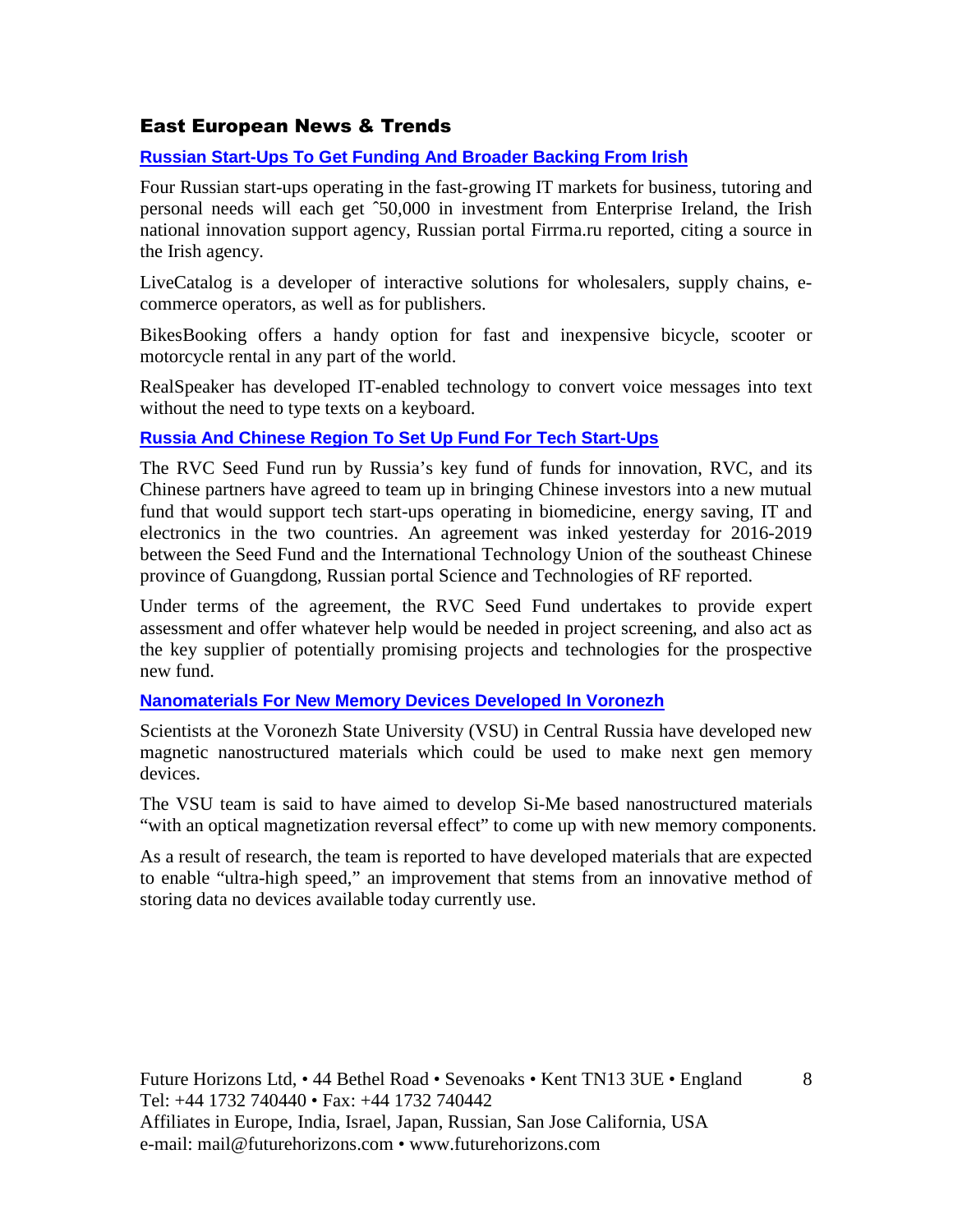#### East European News & Trends

#### **Russian Start-Ups To Get Funding And Broader Backing From Irish**

Four Russian start-ups operating in the fast-growing IT markets for business, tutoring and personal needs will each get ˆ50,000 in investment from Enterprise Ireland, the Irish national innovation support agency, Russian portal Firrma.ru reported, citing a source in the Irish agency.

LiveCatalog is a developer of interactive solutions for wholesalers, supply chains, ecommerce operators, as well as for publishers.

BikesBooking offers a handy option for fast and inexpensive bicycle, scooter or motorcycle rental in any part of the world.

RealSpeaker has developed IT-enabled technology to convert voice messages into text without the need to type texts on a keyboard.

#### **Russia And Chinese Region To Set Up Fund For Tech Start-Ups**

The RVC Seed Fund run by Russia's key fund of funds for innovation, RVC, and its Chinese partners have agreed to team up in bringing Chinese investors into a new mutual fund that would support tech start-ups operating in biomedicine, energy saving, IT and electronics in the two countries. An agreement was inked yesterday for 2016-2019 between the Seed Fund and the International Technology Union of the southeast Chinese province of Guangdong, Russian portal Science and Technologies of RF reported.

Under terms of the agreement, the RVC Seed Fund undertakes to provide expert assessment and offer whatever help would be needed in project screening, and also act as the key supplier of potentially promising projects and technologies for the prospective new fund.

#### **Nanomaterials For New Memory Devices Developed In Voronezh**

Scientists at the Voronezh State University (VSU) in Central Russia have developed new magnetic nanostructured materials which could be used to make next gen memory devices.

The VSU team is said to have aimed to develop Si-Me based nanostructured materials "with an optical magnetization reversal effect" to come up with new memory components.

As a result of research, the team is reported to have developed materials that are expected to enable "ultra-high speed," an improvement that stems from an innovative method of storing data no devices available today currently use.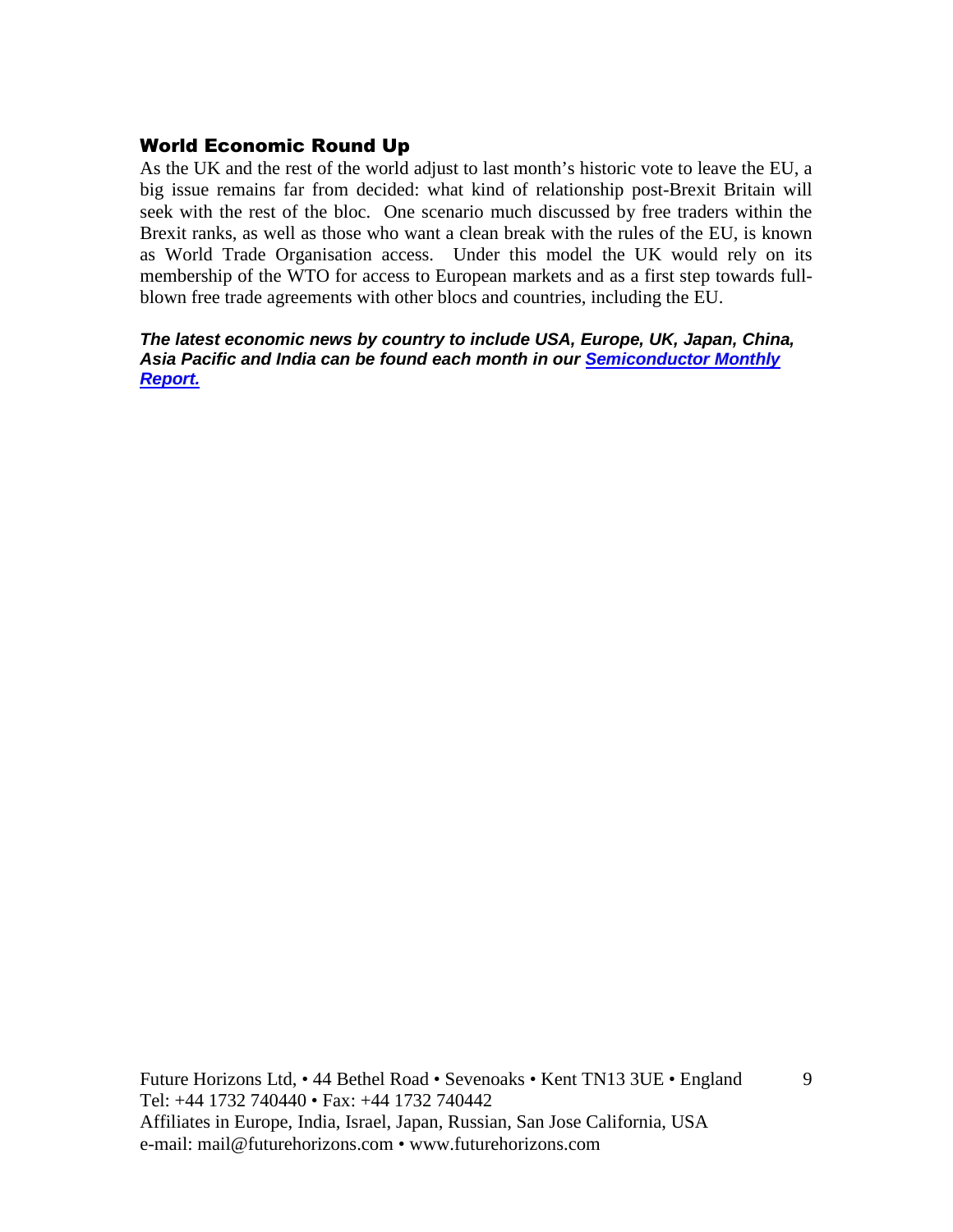#### World Economic Round Up

As the UK and the rest of the world adjust to last month's historic vote to leave the EU, a big issue remains far from decided: what kind of relationship post-Brexit Britain will seek with the rest of the bloc. One scenario much discussed by free traders within the Brexit ranks, as well as those who want a clean break with the rules of the EU, is known as World Trade Organisation access. Under this model the UK would rely on its membership of the WTO for access to European markets and as a first step towards fullblown free trade agreements with other blocs and countries, including the EU.

**The latest economic news by country to include USA, Europe, UK, Japan, China, Asia Pacific and India can be found each month in our Semiconductor Monthly Report.**